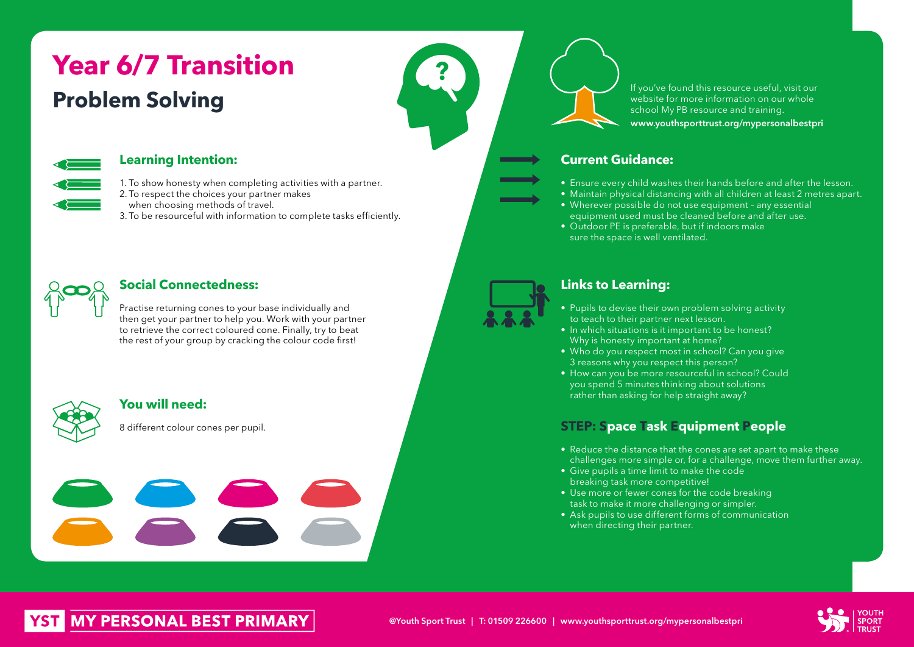# **Problem Solving Year 6/7 Transition**



## **Learning Intention:**

- 1. To show honesty when completing activities with a partner.
- 2. To respect the choices your partner makes
- when choosing methods of travel.
- 3. To be resourceful with information to complete tasks efficiently.



## **Social Connectedness:**

Practise returning cones to your base individually and then get your partner to help you. Work with your partner to retrieve the correct coloured cone. Finally, try to beat the rest of your group by cracking the colour code first!



## **You will need:**

8 different colour cones per pupil.

If you've found this resource useful, visit our website for more information on our whole school My PB resource and training. www.youthsporttrust.org/mypersonalbestpri

# **Current Guidance:**

- Ensure every child washes their hands before and after the lesson.
- Maintain physical distancing with all children at least 2 metres apart.
- Wherever possible do not use equipment any essential equipment used must be cleaned before and after use.
- Outdoor PE is preferable, but if indoors make sure the space is well ventilated.



## **Links to Learning:**

- Pupils to devise their own problem solving activity to teach to their partner next lesson.
- In which situations is it important to be honest? Why is honesty important at home?
- Who do you respect most in school? Can you give 3 reasons why you respect this person?
- How can you be more resourceful in school? Could you spend 5 minutes thinking about solutions rather than asking for help straight away?

# **STEP: Space Task Equipment People**

- Reduce the distance that the cones are set apart to make these challenges more simple or, for a challenge, move them further away.
- Give pupils a time limit to make the code breaking task more competitive!
- Use more or fewer cones for the code breaking task to make it more challenging or simpler.
- Ask pupils to use different forms of communication when directing their partner.



# **MY PERSONAL BEST PRIMARY**